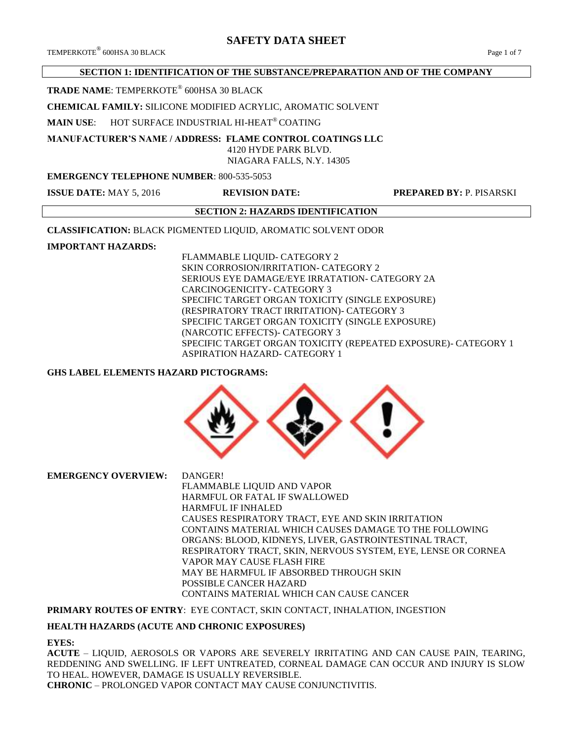# **SAFETY DATA SHEET**

## **SECTION 1: IDENTIFICATION OF THE SUBSTANCE/PREPARATION AND OF THE COMPANY**

**TRADE NAME**: TEMPERKOTE® 600HSA 30 BLACK

**CHEMICAL FAMILY:** SILICONE MODIFIED ACRYLIC, AROMATIC SOLVENT

**MAIN USE**: HOT SURFACE INDUSTRIAL HI-HEAT® COATING

**MANUFACTURER'S NAME / ADDRESS: FLAME CONTROL COATINGS LLC**

 4120 HYDE PARK BLVD. NIAGARA FALLS, N.Y. 14305

## **EMERGENCY TELEPHONE NUMBER**: 800-535-5053

**ISSUE DATE:** MAY 5, 2016 **REVISION DATE: PREPARED BY:** P. PISARSKI

## **SECTION 2: HAZARDS IDENTIFICATION**

**CLASSIFICATION:** BLACK PIGMENTED LIQUID, AROMATIC SOLVENT ODOR

## **IMPORTANT HAZARDS:**

FLAMMABLE LIQUID- CATEGORY 2 SKIN CORROSION/IRRITATION- CATEGORY 2 SERIOUS EYE DAMAGE/EYE IRRATATION- CATEGORY 2A CARCINOGENICITY- CATEGORY 3 SPECIFIC TARGET ORGAN TOXICITY (SINGLE EXPOSURE) (RESPIRATORY TRACT IRRITATION)- CATEGORY 3 SPECIFIC TARGET ORGAN TOXICITY (SINGLE EXPOSURE) (NARCOTIC EFFECTS)- CATEGORY 3 SPECIFIC TARGET ORGAN TOXICITY (REPEATED EXPOSURE)- CATEGORY 1 ASPIRATION HAZARD- CATEGORY 1

## **GHS LABEL ELEMENTS HAZARD PICTOGRAMS:**



**EMERGENCY OVERVIEW:** DANGER!

FLAMMABLE LIQUID AND VAPOR HARMFUL OR FATAL IF SWALLOWED HARMFUL IF INHALED CAUSES RESPIRATORY TRACT, EYE AND SKIN IRRITATION CONTAINS MATERIAL WHICH CAUSES DAMAGE TO THE FOLLOWING ORGANS: BLOOD, KIDNEYS, LIVER, GASTROINTESTINAL TRACT, RESPIRATORY TRACT, SKIN, NERVOUS SYSTEM, EYE, LENSE OR CORNEA VAPOR MAY CAUSE FLASH FIRE MAY BE HARMFUL IF ABSORBED THROUGH SKIN POSSIBLE CANCER HAZARD CONTAINS MATERIAL WHICH CAN CAUSE CANCER

**PRIMARY ROUTES OF ENTRY**: EYE CONTACT, SKIN CONTACT, INHALATION, INGESTION

## **HEALTH HAZARDS (ACUTE AND CHRONIC EXPOSURES)**

#### **EYES:**

**ACUTE** – LIQUID, AEROSOLS OR VAPORS ARE SEVERELY IRRITATING AND CAN CAUSE PAIN, TEARING, REDDENING AND SWELLING. IF LEFT UNTREATED, CORNEAL DAMAGE CAN OCCUR AND INJURY IS SLOW TO HEAL. HOWEVER, DAMAGE IS USUALLY REVERSIBLE. **CHRONIC** – PROLONGED VAPOR CONTACT MAY CAUSE CONJUNCTIVITIS.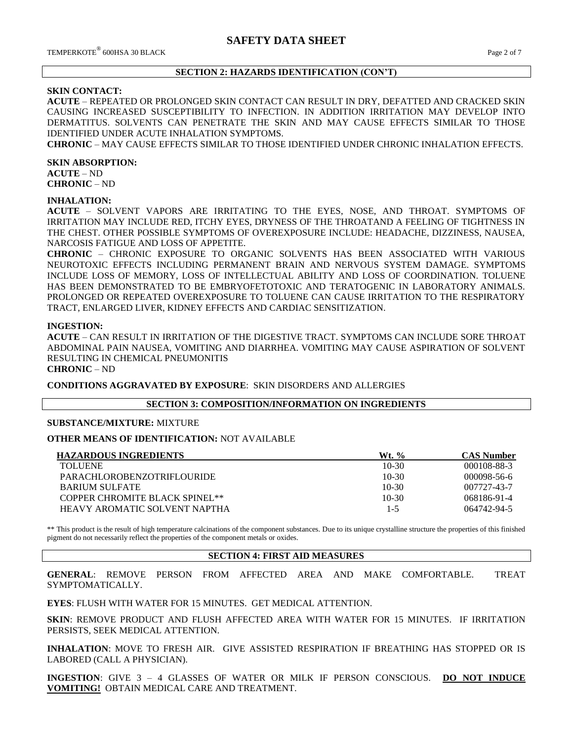## **SECTION 2: HAZARDS IDENTIFICATION (CON'T)**

#### **SKIN CONTACT:**

**ACUTE** – REPEATED OR PROLONGED SKIN CONTACT CAN RESULT IN DRY, DEFATTED AND CRACKED SKIN CAUSING INCREASED SUSCEPTIBILITY TO INFECTION. IN ADDITION IRRITATION MAY DEVELOP INTO DERMATITUS. SOLVENTS CAN PENETRATE THE SKIN AND MAY CAUSE EFFECTS SIMILAR TO THOSE IDENTIFIED UNDER ACUTE INHALATION SYMPTOMS.

**CHRONIC** – MAY CAUSE EFFECTS SIMILAR TO THOSE IDENTIFIED UNDER CHRONIC INHALATION EFFECTS.

#### **SKIN ABSORPTION:**

**ACUTE** – ND **CHRONIC** – ND

#### **INHALATION:**

**ACUTE** – SOLVENT VAPORS ARE IRRITATING TO THE EYES, NOSE, AND THROAT. SYMPTOMS OF IRRITATION MAY INCLUDE RED, ITCHY EYES, DRYNESS OF THE THROATAND A FEELING OF TIGHTNESS IN THE CHEST. OTHER POSSIBLE SYMPTOMS OF OVEREXPOSURE INCLUDE: HEADACHE, DIZZINESS, NAUSEA, NARCOSIS FATIGUE AND LOSS OF APPETITE.

**CHRONIC** – CHRONIC EXPOSURE TO ORGANIC SOLVENTS HAS BEEN ASSOCIATED WITH VARIOUS NEUROTOXIC EFFECTS INCLUDING PERMANENT BRAIN AND NERVOUS SYSTEM DAMAGE. SYMPTOMS INCLUDE LOSS OF MEMORY, LOSS OF INTELLECTUAL ABILITY AND LOSS OF COORDINATION. TOLUENE HAS BEEN DEMONSTRATED TO BE EMBRYOFETOTOXIC AND TERATOGENIC IN LABORATORY ANIMALS. PROLONGED OR REPEATED OVEREXPOSURE TO TOLUENE CAN CAUSE IRRITATION TO THE RESPIRATORY TRACT, ENLARGED LIVER, KIDNEY EFFECTS AND CARDIAC SENSITIZATION.

#### **INGESTION:**

**ACUTE** – CAN RESULT IN IRRITATION OF THE DIGESTIVE TRACT. SYMPTOMS CAN INCLUDE SORE THROAT ABDOMINAL PAIN NAUSEA, VOMITING AND DIARRHEA. VOMITING MAY CAUSE ASPIRATION OF SOLVENT RESULTING IN CHEMICAL PNEUMONITIS

# **CHRONIC** – ND

**CONDITIONS AGGRAVATED BY EXPOSURE**: SKIN DISORDERS AND ALLERGIES

#### **SECTION 3: COMPOSITION/INFORMATION ON INGREDIENTS**

## **SUBSTANCE/MIXTURE:** MIXTURE

#### **OTHER MEANS OF IDENTIFICATION:** NOT AVAILABLE

| <b>HAZARDOUS INGREDIENTS</b>      | Wt. %   | <b>CAS Number</b> |
|-----------------------------------|---------|-------------------|
| <b>TOLUENE</b>                    | $10-30$ | 000108-88-3       |
| <b>PARACHLOROBENZOTRIFLOURIDE</b> | $10-30$ | 000098-56-6       |
| <b>BARIUM SULFATE</b>             | $10-30$ | 007727-43-7       |
| COPPER CHROMITE BLACK SPINEL**    | $10-30$ | 068186-91-4       |
| HEAVY AROMATIC SOLVENT NAPTHA     | $1 - 5$ | 064742-94-5       |

\*\* This product is the result of high temperature calcinations of the component substances. Due to its unique crystalline structure the properties of this finished pigment do not necessarily reflect the properties of the component metals or oxides.

## **SECTION 4: FIRST AID MEASURES**

**GENERAL**: REMOVE PERSON FROM AFFECTED AREA AND MAKE COMFORTABLE. TREAT SYMPTOMATICALLY.

**EYES**: FLUSH WITH WATER FOR 15 MINUTES. GET MEDICAL ATTENTION.

**SKIN**: REMOVE PRODUCT AND FLUSH AFFECTED AREA WITH WATER FOR 15 MINUTES. IF IRRITATION PERSISTS, SEEK MEDICAL ATTENTION.

**INHALATION**: MOVE TO FRESH AIR. GIVE ASSISTED RESPIRATION IF BREATHING HAS STOPPED OR IS LABORED (CALL A PHYSICIAN).

**INGESTION**: GIVE 3 – 4 GLASSES OF WATER OR MILK IF PERSON CONSCIOUS. **DO NOT INDUCE VOMITING!** OBTAIN MEDICAL CARE AND TREATMENT.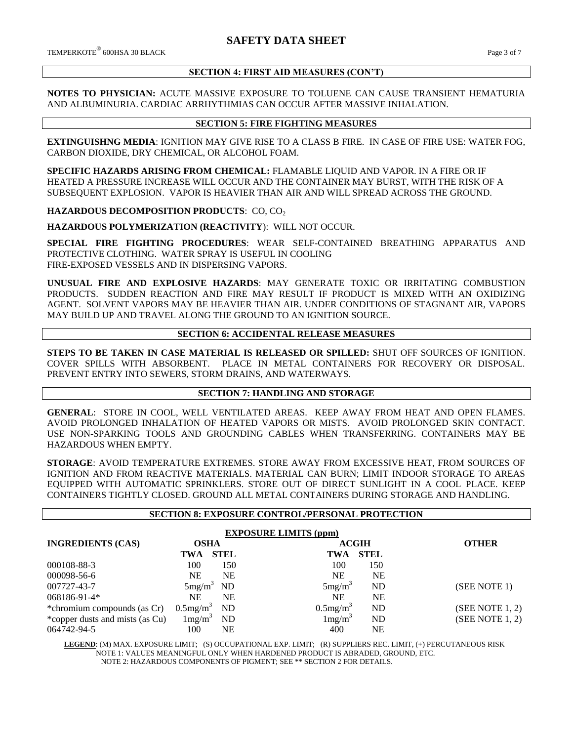## **SECTION 4: FIRST AID MEASURES (CON'T)**

#### **NOTES TO PHYSICIAN:** ACUTE MASSIVE EXPOSURE TO TOLUENE CAN CAUSE TRANSIENT HEMATURIA AND ALBUMINURIA. CARDIAC ARRHYTHMIAS CAN OCCUR AFTER MASSIVE INHALATION.

## **SECTION 5: FIRE FIGHTING MEASURES**

**EXTINGUISHNG MEDIA**: IGNITION MAY GIVE RISE TO A CLASS B FIRE. IN CASE OF FIRE USE: WATER FOG, CARBON DIOXIDE, DRY CHEMICAL, OR ALCOHOL FOAM.

**SPECIFIC HAZARDS ARISING FROM CHEMICAL:** FLAMABLE LIQUID AND VAPOR. IN A FIRE OR IF HEATED A PRESSURE INCREASE WILL OCCUR AND THE CONTAINER MAY BURST, WITH THE RISK OF A SUBSEQUENT EXPLOSION. VAPOR IS HEAVIER THAN AIR AND WILL SPREAD ACROSS THE GROUND.

**HAZARDOUS DECOMPOSITION PRODUCTS: CO, CO<sub>2</sub>** 

**HAZARDOUS POLYMERIZATION (REACTIVITY**): WILL NOT OCCUR.

**SPECIAL FIRE FIGHTING PROCEDURES**: WEAR SELF-CONTAINED BREATHING APPARATUS AND PROTECTIVE CLOTHING. WATER SPRAY IS USEFUL IN COOLING FIRE-EXPOSED VESSELS AND IN DISPERSING VAPORS.

**UNUSUAL FIRE AND EXPLOSIVE HAZARDS**: MAY GENERATE TOXIC OR IRRITATING COMBUSTION PRODUCTS. SUDDEN REACTION AND FIRE MAY RESULT IF PRODUCT IS MIXED WITH AN OXIDIZING AGENT. SOLVENT VAPORS MAY BE HEAVIER THAN AIR. UNDER CONDITIONS OF STAGNANT AIR, VAPORS MAY BUILD UP AND TRAVEL ALONG THE GROUND TO AN IGNITION SOURCE.

### **SECTION 6: ACCIDENTAL RELEASE MEASURES**

**STEPS TO BE TAKEN IN CASE MATERIAL IS RELEASED OR SPILLED:** SHUT OFF SOURCES OF IGNITION. COVER SPILLS WITH ABSORBENT. PLACE IN METAL CONTAINERS FOR RECOVERY OR DISPOSAL. PREVENT ENTRY INTO SEWERS, STORM DRAINS, AND WATERWAYS.

#### **SECTION 7: HANDLING AND STORAGE**

**GENERAL**: STORE IN COOL, WELL VENTILATED AREAS. KEEP AWAY FROM HEAT AND OPEN FLAMES. AVOID PROLONGED INHALATION OF HEATED VAPORS OR MISTS. AVOID PROLONGED SKIN CONTACT. USE NON-SPARKING TOOLS AND GROUNDING CABLES WHEN TRANSFERRING. CONTAINERS MAY BE HAZARDOUS WHEN EMPTY.

**STORAGE**: AVOID TEMPERATURE EXTREMES. STORE AWAY FROM EXCESSIVE HEAT, FROM SOURCES OF IGNITION AND FROM REACTIVE MATERIALS. MATERIAL CAN BURN; LIMIT INDOOR STORAGE TO AREAS EQUIPPED WITH AUTOMATIC SPRINKLERS. STORE OUT OF DIRECT SUNLIGHT IN A COOL PLACE. KEEP CONTAINERS TIGHTLY CLOSED. GROUND ALL METAL CONTAINERS DURING STORAGE AND HANDLING.

#### **SECTION 8: EXPOSURE CONTROL/PERSONAL PROTECTION**

| <b>EXPOSURE LIMITS (ppm)</b>    |                         |             |                         |              |                 |
|---------------------------------|-------------------------|-------------|-------------------------|--------------|-----------------|
| <b>INGREDIENTS (CAS)</b>        | <b>OSHA</b>             |             |                         | <b>ACGIH</b> | <b>OTHER</b>    |
|                                 | TWA                     | <b>STEL</b> | TWA                     | <b>STEL</b>  |                 |
| 000108-88-3                     | 100                     | 150         | 100                     | 150          |                 |
| 000098-56-6                     | NE                      | <b>NE</b>   | NE                      | <b>NE</b>    |                 |
| 007727-43-7                     | 5mg/m <sup>3</sup>      | ND          | 5mg/m <sup>3</sup>      | <b>ND</b>    | (SEE NOTE 1)    |
| $068186 - 91 - 4*$              | <b>NE</b>               | <b>NE</b>   | <b>NE</b>               | <b>NE</b>    |                 |
| *chromium compounds (as Cr)     | $0.5$ mg/m <sup>3</sup> | <b>ND</b>   | $0.5$ mg/m <sup>3</sup> | <b>ND</b>    | (SEE NOTE 1, 2) |
| *copper dusts and mists (as Cu) | $1 \text{mg/m}^3$       | ND          | $1 \text{mg/m}^3$       | ND           | (SEE NOTE1, 2)  |
| 064742-94-5                     | 100                     | NE          | 400                     | NE           |                 |

**LEGEND**: (M) MAX. EXPOSURE LIMIT; (S) OCCUPATIONAL EXP. LIMIT; (R) SUPPLIERS REC. LIMIT, (+) PERCUTANEOUS RISK NOTE 1: VALUES MEANINGFUL ONLY WHEN HARDENED PRODUCT IS ABRADED, GROUND, ETC. NOTE 2: HAZARDOUS COMPONENTS OF PIGMENT; SEE \*\* SECTION 2 FOR DETAILS.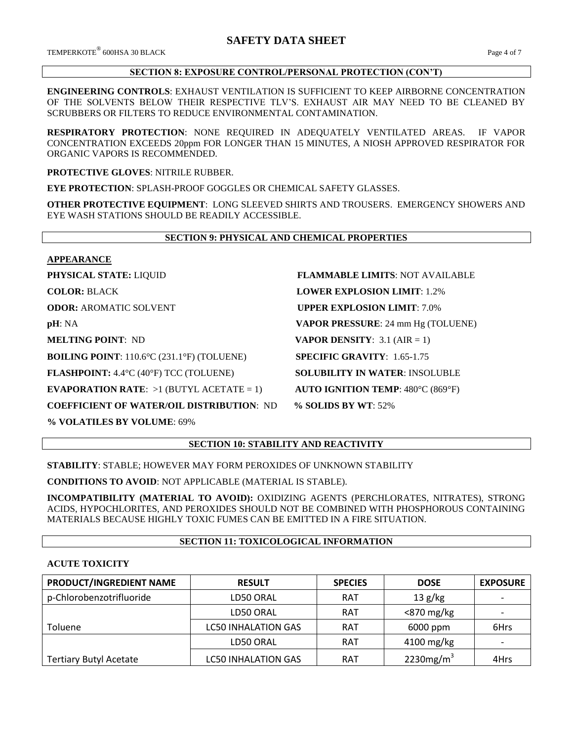$\rm{TEMPERKOTE}^{\circledR}$  600HSA 30 BLACK  $\rm{Page\,4}$  of  $7$ 

## **SECTION 8: EXPOSURE CONTROL/PERSONAL PROTECTION (CON'T)**

**ENGINEERING CONTROLS**: EXHAUST VENTILATION IS SUFFICIENT TO KEEP AIRBORNE CONCENTRATION OF THE SOLVENTS BELOW THEIR RESPECTIVE TLV'S. EXHAUST AIR MAY NEED TO BE CLEANED BY SCRUBBERS OR FILTERS TO REDUCE ENVIRONMENTAL CONTAMINATION.

**RESPIRATORY PROTECTION**: NONE REQUIRED IN ADEQUATELY VENTILATED AREAS. IF VAPOR CONCENTRATION EXCEEDS 20ppm FOR LONGER THAN 15 MINUTES, A NIOSH APPROVED RESPIRATOR FOR ORGANIC VAPORS IS RECOMMENDED.

**PROTECTIVE GLOVES**: NITRILE RUBBER.

**EYE PROTECTION**: SPLASH-PROOF GOGGLES OR CHEMICAL SAFETY GLASSES.

**OTHER PROTECTIVE EQUIPMENT**: LONG SLEEVED SHIRTS AND TROUSERS. EMERGENCY SHOWERS AND EYE WASH STATIONS SHOULD BE READILY ACCESSIBLE.

# **SECTION 9: PHYSICAL AND CHEMICAL PROPERTIES**

#### **APPEARANCE**

**BOILING POINT**: 110.6°C (231.1°F) (TOLUENE) **SPECIFIC GRAVITY**: 1.65-1.75

**FLASHPOINT:** 4.4°C (40°F) TCC (TOLUENE) **SOLUBILITY IN WATER**: INSOLUBLE

**EVAPORATION RATE:**  $>1$  (BUTYL ACETATE = 1) **AUTO IGNITION TEMP**: 480°C (869°F)

**COEFFICIENT OF WATER/OIL DISTRIBUTION**: ND **% SOLIDS BY WT**: 52%

**% VOLATILES BY VOLUME**: 69%

**PHYSICAL STATE:** LIQUID **FLAMMABLE LIMITS**: NOT AVAILABLE **COLOR:** BLACK **LOWER EXPLOSION LIMIT**: 1.2% **ODOR: AROMATIC SOLVENT <b>UPPER EXPLOSION LIMIT**: 7.0% **pH**: NA **VAPOR PRESSURE**: 24 mm Hg (TOLUENE) **MELTING POINT**: ND **VAPOR DENSITY**: 3.1 (AIR = 1)

## **SECTION 10: STABILITY AND REACTIVITY**

**STABILITY**: STABLE; HOWEVER MAY FORM PEROXIDES OF UNKNOWN STABILITY

**CONDITIONS TO AVOID**: NOT APPLICABLE (MATERIAL IS STABLE).

**INCOMPATIBILITY (MATERIAL TO AVOID):** OXIDIZING AGENTS (PERCHLORATES, NITRATES), STRONG ACIDS, HYPOCHLORITES, AND PEROXIDES SHOULD NOT BE COMBINED WITH PHOSPHOROUS CONTAINING MATERIALS BECAUSE HIGHLY TOXIC FUMES CAN BE EMITTED IN A FIRE SITUATION.

## **SECTION 11: TOXICOLOGICAL INFORMATION**

## **ACUTE TOXICITY**

| PRODUCT/INGREDIENT NAME       | <b>RESULT</b>              | <b>SPECIES</b> | <b>DOSE</b>   | <b>EXPOSURE</b>          |
|-------------------------------|----------------------------|----------------|---------------|--------------------------|
| p-Chlorobenzotrifluoride      | LD50 ORAL                  | <b>RAT</b>     | 13 g/kg       | $\overline{\phantom{0}}$ |
|                               | LD50 ORAL                  | <b>RAT</b>     | $<$ 870 mg/kg |                          |
| Toluene                       | <b>LC50 INHALATION GAS</b> | <b>RAT</b>     | 6000 ppm      | 6Hrs                     |
|                               | LD50 ORAL                  | <b>RAT</b>     | 4100 mg/kg    |                          |
| <b>Tertiary Butyl Acetate</b> | <b>LC50 INHALATION GAS</b> | <b>RAT</b>     | 2230 $mg/m3$  | 4Hrs                     |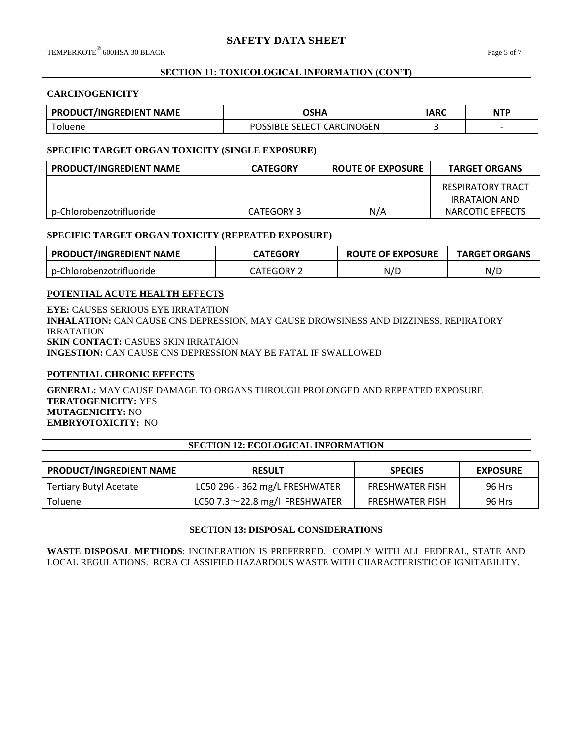## **SECTION 11: TOXICOLOGICAL INFORMATION (CON'T)**

#### **CARCINOGENICITY**

| <b>PRODUCT/INGREDIENT NAME</b> | OSHA                       | IARC | <b>NTP</b>               |
|--------------------------------|----------------------------|------|--------------------------|
| oluene                         | POSSIBLE SELECT CARCINOGEN |      | $\overline{\phantom{0}}$ |

### **SPECIFIC TARGET ORGAN TOXICITY (SINGLE EXPOSURE)**

| PRODUCT/INGREDIENT NAME  | <b>CATEGORY</b> | <b>ROUTE OF EXPOSURE</b> | <b>TARGET ORGANS</b> |
|--------------------------|-----------------|--------------------------|----------------------|
|                          |                 |                          | RESPIRATORY TRACT    |
|                          |                 |                          | <b>IRRATAION AND</b> |
| p-Chlorobenzotrifluoride | CATEGORY 3      | N/A                      | NARCOTIC EFFECTS     |

## **SPECIFIC TARGET ORGAN TOXICITY (REPEATED EXPOSURE)**

| <b>PRODUCT/INGREDIENT NAME</b>  | <b>LATEGORY</b> | <b>ROUTE OF EXPOSURE</b> | <b>TARGET ORGANS</b> |
|---------------------------------|-----------------|--------------------------|----------------------|
| Chlorobenzotrifluoride<br>$n-0$ | FGORY<br>rego   | N/L                      | N/D                  |

## **POTENTIAL ACUTE HEALTH EFFECTS**

**EYE:** CAUSES SERIOUS EYE IRRATATION **INHALATION:** CAN CAUSE CNS DEPRESSION, MAY CAUSE DROWSINESS AND DIZZINESS, REPIRATORY IRRATATION **SKIN CONTACT:** CASUES SKIN IRRATAION **INGESTION:** CAN CAUSE CNS DEPRESSION MAY BE FATAL IF SWALLOWED

## **POTENTIAL CHRONIC EFFECTS**

**GENERAL:** MAY CAUSE DAMAGE TO ORGANS THROUGH PROLONGED AND REPEATED EXPOSURE **TERATOGENICITY:** YES **MUTAGENICITY:** NO **EMBRYOTOXICITY:** NO

## **SECTION 12: ECOLOGICAL INFORMATION**

| <b>PRODUCT/INGREDIENT NAME</b> | <b>RESULT</b>                        | <b>SPECIES</b>         | <b>EXPOSURE</b> |
|--------------------------------|--------------------------------------|------------------------|-----------------|
| Tertiary Butyl Acetate         | LC50 296 - 362 mg/L FRESHWATER       | <b>FRESHWATER FISH</b> | 96 Hrs          |
| Toluene                        | LC50 7.3 $\sim$ 22.8 mg/l FRESHWATER | <b>FRESHWATER FISH</b> | 96 Hrs          |

## **SECTION 13: DISPOSAL CONSIDERATIONS**

**WASTE DISPOSAL METHODS**: INCINERATION IS PREFERRED. COMPLY WITH ALL FEDERAL, STATE AND LOCAL REGULATIONS. RCRA CLASSIFIED HAZARDOUS WASTE WITH CHARACTERISTIC OF IGNITABILITY.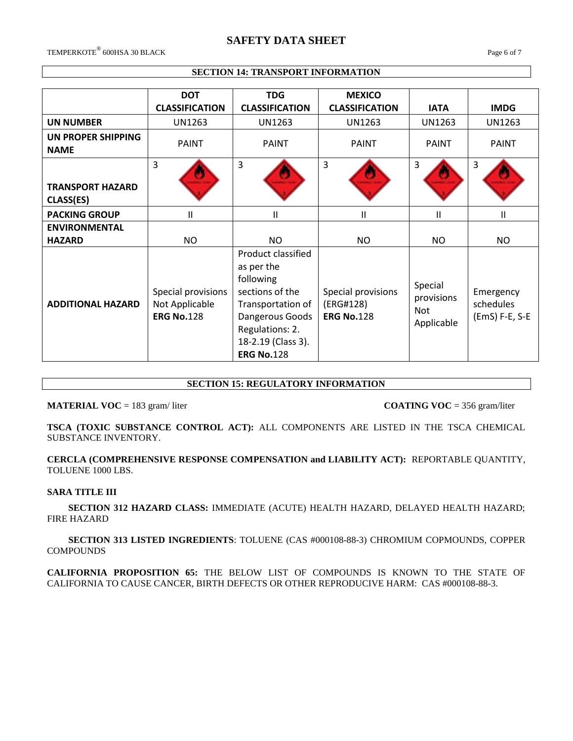# **SAFETY DATA SHEET**

 $\rm{TEMPERKOTE}^{\circledR}$  600HSA 30 BLACK  $\rm{Page}\,6$  of  $7$ 

## **SECTION 14: TRANSPORT INFORMATION**

|                                      | <b>DOT</b><br><b>CLASSIFICATION</b>                       | <b>TDG</b><br><b>CLASSIFICATION</b>                                                                                                                                    | <b>MEXICO</b><br><b>CLASSIFICATION</b>               | <b>IATA</b>                                       | <b>IMDG</b>                              |
|--------------------------------------|-----------------------------------------------------------|------------------------------------------------------------------------------------------------------------------------------------------------------------------------|------------------------------------------------------|---------------------------------------------------|------------------------------------------|
| <b>UN NUMBER</b>                     | <b>UN1263</b>                                             | UN1263                                                                                                                                                                 | <b>UN1263</b>                                        | UN1263                                            | <b>UN1263</b>                            |
| UN PROPER SHIPPING<br><b>NAME</b>    | <b>PAINT</b>                                              | <b>PAINT</b>                                                                                                                                                           | <b>PAINT</b>                                         | <b>PAINT</b>                                      | <b>PAINT</b>                             |
| <b>TRANSPORT HAZARD</b><br>CLASS(ES) | 3                                                         | $\overline{3}$                                                                                                                                                         | 3                                                    | 3                                                 | 3                                        |
| <b>PACKING GROUP</b>                 | $\mathsf{II}$                                             | Ш                                                                                                                                                                      | $\mathbf{H}$                                         | Ш                                                 | Ш                                        |
| <b>ENVIRONMENTAL</b>                 |                                                           |                                                                                                                                                                        |                                                      |                                                   |                                          |
| <b>HAZARD</b>                        | NO.                                                       | NO                                                                                                                                                                     | <b>NO</b>                                            | NO.                                               | NO.                                      |
| <b>ADDITIONAL HAZARD</b>             | Special provisions<br>Not Applicable<br><b>ERG No.128</b> | Product classified<br>as per the<br>following<br>sections of the<br>Transportation of<br>Dangerous Goods<br>Regulations: 2.<br>18-2.19 (Class 3).<br><b>ERG No.128</b> | Special provisions<br>(ERG#128)<br><b>ERG No.128</b> | Special<br>provisions<br><b>Not</b><br>Applicable | Emergency<br>schedules<br>(EmS) F-E, S-E |

## **SECTION 15: REGULATORY INFORMATION**

**MATERIAL VOC** = 183 gram/liter **COATING VOC** = 356 gram/liter

**TSCA (TOXIC SUBSTANCE CONTROL ACT):** ALL COMPONENTS ARE LISTED IN THE TSCA CHEMICAL SUBSTANCE INVENTORY.

**CERCLA (COMPREHENSIVE RESPONSE COMPENSATION and LIABILITY ACT):** REPORTABLE QUANTITY, TOLUENE 1000 LBS.

#### **SARA TITLE III**

 **SECTION 312 HAZARD CLASS:** IMMEDIATE (ACUTE) HEALTH HAZARD, DELAYED HEALTH HAZARD; FIRE HAZARD

 **SECTION 313 LISTED INGREDIENTS**: TOLUENE (CAS #000108-88-3) CHROMIUM COPMOUNDS, COPPER **COMPOUNDS** 

**CALIFORNIA PROPOSITION 65:** THE BELOW LIST OF COMPOUNDS IS KNOWN TO THE STATE OF CALIFORNIA TO CAUSE CANCER, BIRTH DEFECTS OR OTHER REPRODUCIVE HARM: CAS #000108-88-3.